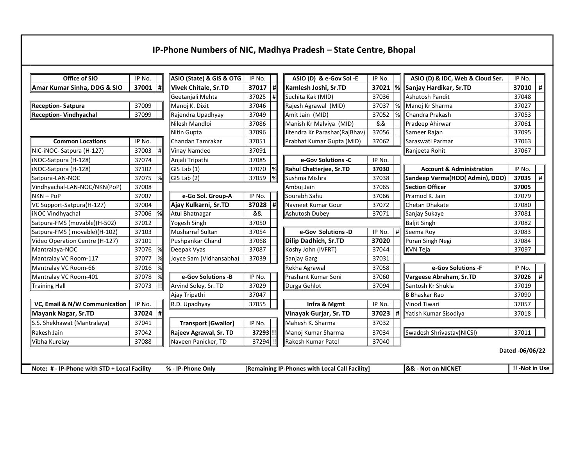## IP-Phone Numbers of NIC, Madhya Pradesh - State Centre, Bhopal

| Office of SIO<br>IP No.                                                                                             |        | ASIO (State) & GIS & OTG<br>IP No. |                            |                      | ASIO (D) & e-Gov Sol -E       | IP No.                    |        | ASIO (D) & IDC, Web & Cloud Ser.  | IP No.                              |        |   |
|---------------------------------------------------------------------------------------------------------------------|--------|------------------------------------|----------------------------|----------------------|-------------------------------|---------------------------|--------|-----------------------------------|-------------------------------------|--------|---|
| #∥<br>37001<br>Amar Kumar Sinha, DDG & SIO                                                                          |        | Vivek Chitale, Sr.TD               | 37017                      | <sub>  </sub>        | Kamlesh Joshi, Sr.TD          | 37021                     | %      | Sanjay Hardikar, Sr.TD            | 37010                               | #      |   |
|                                                                                                                     |        |                                    | Geetanjali Mehta           | 37025                | #                             | Suchita Kak (MID)         | 37036  |                                   | Ashutosh Pandit                     | 37048  |   |
| <b>Reception-Satpura</b>                                                                                            | 37009  |                                    | Manoj K. Dixit             | 37046                |                               | Rajesh Agrawal (MID)      | 37037  | %                                 | Manoj Kr Sharma                     | 37027  |   |
| <b>Reception- Vindhyachal</b>                                                                                       | 37099  |                                    | Rajendra Upadhyay          | 37049                |                               | Amit Jain (MID)           | 37052  |                                   | Chandra Prakash                     | 37053  |   |
|                                                                                                                     |        |                                    | Nilesh Mandloi             | 37086                |                               | Manish Kr Malviya (MID)   | &&     |                                   | Pradeep Ahirwar                     | 37061  |   |
|                                                                                                                     |        | Nitin Gupta                        | 37096                      |                      | Jitendra Kr Parashar(RajBhav) | 37056                     |        | Sameer Rajan                      | 37095                               |        |   |
| <b>Common Locations</b>                                                                                             | IP No. |                                    | Chandan Tamrakar           | 37051                |                               | Prabhat Kumar Gupta (MID) | 37062  |                                   | Saraswati Parmar                    | 37063  |   |
| NIC-iNOC- Satpura (H-127)<br>37003<br>$\Vert$                                                                       |        | Vinay Namdeo                       | 37091                      |                      |                               |                           |        | Ranjeeta Rohit                    | 37067                               |        |   |
| iNOC-Satpura (H-128)                                                                                                | 37074  |                                    | Anjali Tripathi            | 37085                |                               | e-Gov Solutions -C        | IP No. |                                   |                                     |        |   |
| INOC-Satpura (H-128)                                                                                                | 37102  |                                    | GIS Lab(1)                 | 37070                |                               | Rahul Chatterjee, Sr.TD   | 37030  |                                   | <b>Account &amp; Administration</b> | IP No. |   |
| Satpura-LAN-NOC                                                                                                     | 37075  |                                    | $GIS$ Lab $(2)$            | 37059                | $\frac{9}{6}$                 | Sushma Mishra             | 37038  |                                   | Sandeep Verma(HOD(Admin), DDO)      | 37035  | # |
| Vindhyachal-LAN-NOC/NKN(PoP)                                                                                        | 37008  |                                    |                            |                      | 37065<br>∥Ambuj Jain          |                           |        | Section Officer                   | 37005                               |        |   |
| $NKN - POP$                                                                                                         | 37007  |                                    | e-Go Sol. Group-A          | IP No.               |                               | Sourabh Sahu              | 37066  |                                   | Pramod K. Jain                      | 37079  |   |
| VC Support-Satpura(H-127)                                                                                           | 37004  |                                    | Ajay Kulkarni, Sr.TD       | 37028                | l#                            | ∥Navneet Kumar Gour       | 37072  |                                   | Chetan Dhakate                      | 37080  |   |
| <b>INOC Vindhyachal</b>                                                                                             | 37006  |                                    | Atul Bhatnagar             | &&                   |                               | Ashutosh Dubey            | 37071  |                                   | Sanjay Sukaye                       | 37081  |   |
| Satpura-FMS (movable)(H-502)                                                                                        | 37012  |                                    | Yogesh Singh               | 37050                |                               |                           |        |                                   | <b>Baljit Singh</b>                 | 37082  |   |
| Satpura-FMS (movable)(H-102)                                                                                        | 37103  |                                    | Musharraf Sultan           | 37054                |                               | e-Gov Solutions -D        | IP No. | $\Vert$                           | Seema Rov                           | 37083  |   |
| Video Operation Centre (H-127)                                                                                      | 37101  |                                    | Pushpankar Chand           | 37068                |                               | Dilip Dadhich, Sr.TD      | 37020  |                                   | Puran Singh Negi                    | 37084  |   |
| Mantralaya-NOC                                                                                                      | 37076  | %                                  | Deepak Vyas                | 37087                |                               | Koshy John (IVFRT)        | 37044  |                                   | KVN Teja                            | 37097  |   |
| Mantralay VC Room-117<br>37077                                                                                      |        | 37039<br>Joyce Sam (Vidhansabha)   |                            | Sanjay Garg<br>37031 |                               |                           |        |                                   |                                     |        |   |
| Mantralay VC Room-66                                                                                                | 37016  |                                    |                            |                      |                               | Rekha Agrawal             | 37058  |                                   | e-Gov Solutions -F                  | IP No. |   |
| Mantralay VC Room-401                                                                                               | 37078  |                                    | e-Gov Solutions -B         | IP No.               |                               | ∥Prashant Kumar Soni      | 37060  |                                   | Vargeese Abraham, Sr.TD             | 37026  | # |
| <b>Training Hall</b>                                                                                                | 37073  | !!                                 | Arvind Soley, Sr. TD       | 37029                |                               | Durga Gehlot              | 37094  |                                   | Santosh Kr Shukla                   | 37019  |   |
|                                                                                                                     |        |                                    | Ajay Tripathi              | 37047                |                               |                           |        |                                   | <b>B Bhaskar Rao</b>                | 37090  |   |
| VC, Email & N/W Communication                                                                                       | IP No. |                                    | R.D. Upadhyay              | 37055                |                               | Infra & Mgmt              | IP No. |                                   | <b>Vinod Tiwari</b>                 | 37057  |   |
| Mayank Nagar, Sr.TD                                                                                                 | 37024  | #                                  |                            |                      |                               | Vinayak Gurjar, Sr. TD    | 37023  | #                                 | Yatish Kumar Sisodiya               | 37018  |   |
| S.S. Shekhawat (Mantralaya)                                                                                         | 37041  |                                    | <b>Transport [Gwalior]</b> | IP No.               |                               | ∥Mahesh K. Sharma         | 37032  |                                   |                                     |        |   |
| Rakesh Jain                                                                                                         | 37042  |                                    | Rajeev Agrawal, Sr. TD     | 37293 !!             |                               | Manoj Kumar Sharma        | 37034  |                                   | Swadesh Shrivastav(NICSI)           | 37011  |   |
| 37088<br>Vibha Kurelay                                                                                              |        | Naveen Panicker, TD                | 37294 !!                   |                      | 37040<br>∥Rakesh Kumar Patel  |                           |        |                                   |                                     |        |   |
| Dated -06/06/22                                                                                                     |        |                                    |                            |                      |                               |                           |        |                                   |                                     |        |   |
| Note: # - IP-Phone with STD + Local Facility<br>% - IP-Phone Only<br>[Remaining IP-Phones with Local Call Facility] |        |                                    |                            |                      |                               |                           |        | <b>&amp;&amp; - Not on NICNET</b> | !! -Not in Use                      |        |   |